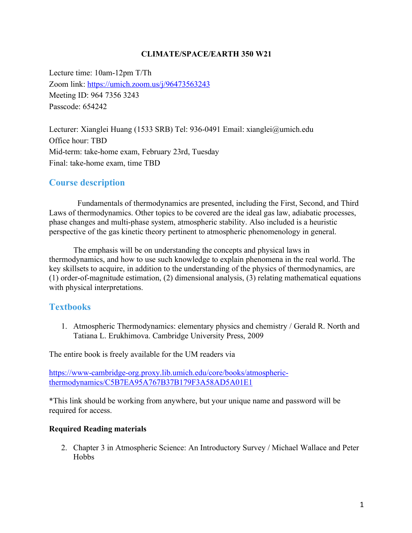#### **CLIMATE/SPACE/EARTH 350 W21**

Lecture time: 10am-12pm T/Th Zoom link: https://umich.zoom.us/j/96473563243 Meeting ID: 964 7356 3243 Passcode: 654242

Lecturer: Xianglei Huang (1533 SRB) Tel: 936-0491 Email: xianglei@umich.edu Office hour: TBD Mid-term: take-home exam, February 23rd, Tuesday Final: take-home exam, time TBD

## **Course description**

Fundamentals of thermodynamics are presented, including the First, Second, and Third Laws of thermodynamics. Other topics to be covered are the ideal gas law, adiabatic processes, phase changes and multi-phase system, atmospheric stability. Also included is a heuristic perspective of the gas kinetic theory pertinent to atmospheric phenomenology in general.

 The emphasis will be on understanding the concepts and physical laws in thermodynamics, and how to use such knowledge to explain phenomena in the real world. The key skillsets to acquire, in addition to the understanding of the physics of thermodynamics, are (1) order-of-magnitude estimation, (2) dimensional analysis, (3) relating mathematical equations with physical interpretations.

## **Textbooks**

1. Atmospheric Thermodynamics: elementary physics and chemistry / Gerald R. North and Tatiana L. Erukhimova. Cambridge University Press, 2009

The entire book is freely available for the UM readers via

https://www-cambridge-org.proxy.lib.umich.edu/core/books/atmosphericthermodynamics/C5B7EA95A767B37B179F3A58AD5A01E1

\*This link should be working from anywhere, but your unique name and password will be required for access.

#### **Required Reading materials**

2. Chapter 3 in Atmospheric Science: An Introductory Survey / Michael Wallace and Peter Hobbs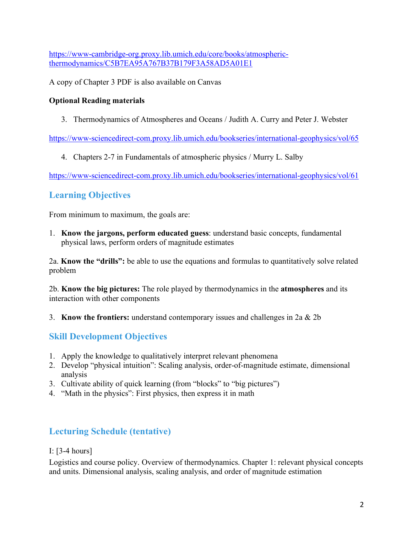https://www-cambridge-org.proxy.lib.umich.edu/core/books/atmosphericthermodynamics/C5B7EA95A767B37B179F3A58AD5A01E1

A copy of Chapter 3 PDF is also available on Canvas

### **Optional Reading materials**

3. Thermodynamics of Atmospheres and Oceans / Judith A. Curry and Peter J. Webster

https://www-sciencedirect-com.proxy.lib.umich.edu/bookseries/international-geophysics/vol/65

4. Chapters 2-7 in Fundamentals of atmospheric physics / Murry L. Salby

https://www-sciencedirect-com.proxy.lib.umich.edu/bookseries/international-geophysics/vol/61

# **Learning Objectives**

From minimum to maximum, the goals are:

1. **Know the jargons, perform educated guess**: understand basic concepts, fundamental physical laws, perform orders of magnitude estimates

2a. **Know the "drills":** be able to use the equations and formulas to quantitatively solve related problem

2b. **Know the big pictures:** The role played by thermodynamics in the **atmospheres** and its interaction with other components

3. **Know the frontiers:** understand contemporary issues and challenges in 2a & 2b

# **Skill Development Objectives**

- 1. Apply the knowledge to qualitatively interpret relevant phenomena
- 2. Develop "physical intuition": Scaling analysis, order-of-magnitude estimate, dimensional analysis
- 3. Cultivate ability of quick learning (from "blocks" to "big pictures")
- 4. "Math in the physics": First physics, then express it in math

# **Lecturing Schedule (tentative)**

## I: [3-4 hours]

Logistics and course policy. Overview of thermodynamics. Chapter 1: relevant physical concepts and units. Dimensional analysis, scaling analysis, and order of magnitude estimation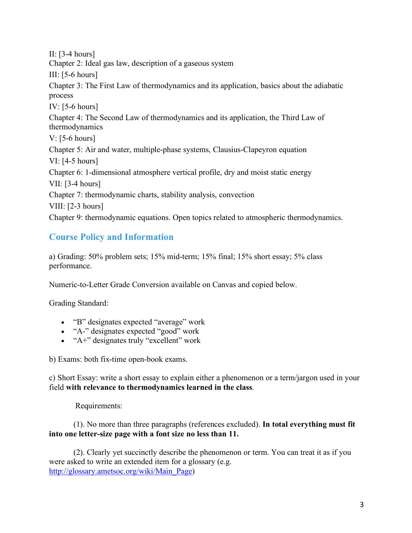II: [3-4 hours] Chapter 2: Ideal gas law, description of a gaseous system III:  $[5-6 \text{ hours}]$ Chapter 3: The First Law of thermodynamics and its application, basics about the adiabatic process IV: [5-6 hours] Chapter 4: The Second Law of thermodynamics and its application, the Third Law of thermodynamics V: [5-6 hours] Chapter 5: Air and water, multiple-phase systems, Clausius-Clapeyron equation VI: [4-5 hours] Chapter 6: 1-dimensional atmosphere vertical profile, dry and moist static energy VII: [3-4 hours] Chapter 7: thermodynamic charts, stability analysis, convection VIII:  $[2-3 \text{ hours}]$ Chapter 9: thermodynamic equations. Open topics related to atmospheric thermodynamics.

# **Course Policy and Information**

a) Grading: 50% problem sets; 15% mid-term; 15% final; 15% short essay; 5% class performance.

Numeric-to-Letter Grade Conversion available on Canvas and copied below.

Grading Standard:

- "B" designates expected "average" work
- "A-" designates expected "good" work
- "A+" designates truly "excellent" work

b) Exams: both fix-time open-book exams.

c) Short Essay: write a short essay to explain either a phenomenon or a term/jargon used in your field **with relevance to thermodynamics learned in the class**.

Requirements:

 (1). No more than three paragraphs (references excluded). **In total everything must fit into one letter-size page with a font size no less than 11.** 

 (2). Clearly yet succinctly describe the phenomenon or term. You can treat it as if you were asked to write an extended item for a glossary (e.g. http://glossary.ametsoc.org/wiki/Main\_Page)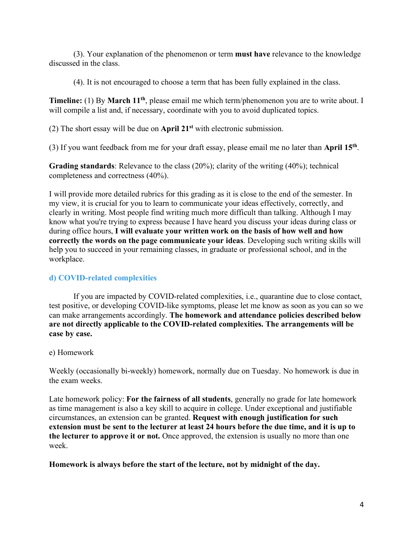(3). Your explanation of the phenomenon or term **must have** relevance to the knowledge discussed in the class.

(4). It is not encouraged to choose a term that has been fully explained in the class.

**Timeline:** (1) By **March 11th**, please email me which term/phenomenon you are to write about. I will compile a list and, if necessary, coordinate with you to avoid duplicated topics.

(2) The short essay will be due on **April 21st** with electronic submission.

(3) If you want feedback from me for your draft essay, please email me no later than **April 15th** .

**Grading standards**: Relevance to the class (20%); clarity of the writing (40%); technical completeness and correctness (40%).

I will provide more detailed rubrics for this grading as it is close to the end of the semester. In my view, it is crucial for you to learn to communicate your ideas effectively, correctly, and clearly in writing. Most people find writing much more difficult than talking. Although I may know what you're trying to express because I have heard you discuss your ideas during class or during office hours, **I will evaluate your written work on the basis of how well and how correctly the words on the page communicate your ideas**. Developing such writing skills will help you to succeed in your remaining classes, in graduate or professional school, and in the workplace.

#### **d) COVID-related complexities**

 If you are impacted by COVID-related complexities, i.e., quarantine due to close contact, test positive, or developing COVID-like symptoms, please let me know as soon as you can so we can make arrangements accordingly. **The homework and attendance policies described below are not directly applicable to the COVID-related complexities. The arrangements will be case by case.**

#### e) Homework

Weekly (occasionally bi-weekly) homework, normally due on Tuesday. No homework is due in the exam weeks.

Late homework policy: **For the fairness of all students**, generally no grade for late homework as time management is also a key skill to acquire in college. Under exceptional and justifiable circumstances, an extension can be granted. **Request with enough justification for such extension must be sent to the lecturer at least 24 hours before the due time, and it is up to the lecturer to approve it or not.** Once approved, the extension is usually no more than one week.

#### **Homework is always before the start of the lecture, not by midnight of the day.**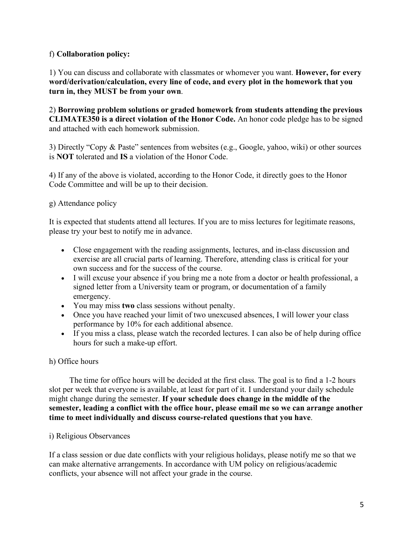### f) **Collaboration policy:**

1) You can discuss and collaborate with classmates or whomever you want. **However, for every word/derivation/calculation, every line of code, and every plot in the homework that you turn in, they MUST be from your own**.

2) **Borrowing problem solutions or graded homework from students attending the previous CLIMATE350 is a direct violation of the Honor Code.** An honor code pledge has to be signed and attached with each homework submission.

3) Directly "Copy & Paste" sentences from websites (e.g., Google, yahoo, wiki) or other sources is **NOT** tolerated and **IS** a violation of the Honor Code.

4) If any of the above is violated, according to the Honor Code, it directly goes to the Honor Code Committee and will be up to their decision.

#### g) Attendance policy

It is expected that students attend all lectures. If you are to miss lectures for legitimate reasons, please try your best to notify me in advance.

- Close engagement with the reading assignments, lectures, and in-class discussion and exercise are all crucial parts of learning. Therefore, attending class is critical for your own success and for the success of the course.
- I will excuse your absence if you bring me a note from a doctor or health professional, a signed letter from a University team or program, or documentation of a family emergency.
- You may miss **two** class sessions without penalty.
- Once you have reached your limit of two unexcused absences, I will lower your class performance by 10% for each additional absence.
- If you miss a class, please watch the recorded lectures. I can also be of help during office hours for such a make-up effort.

## h) Office hours

 The time for office hours will be decided at the first class. The goal is to find a 1-2 hours slot per week that everyone is available, at least for part of it. I understand your daily schedule might change during the semester. **If your schedule does change in the middle of the semester, leading a conflict with the office hour, please email me so we can arrange another time to meet individually and discuss course-related questions that you have**.

#### i) Religious Observances

If a class session or due date conflicts with your religious holidays, please notify me so that we can make alternative arrangements. In accordance with UM policy on religious/academic conflicts, your absence will not affect your grade in the course.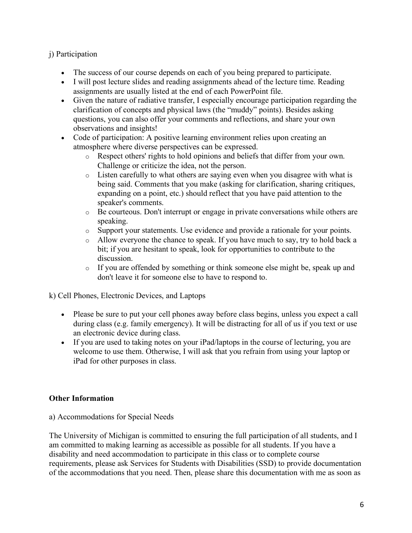## j) Participation

- The success of our course depends on each of you being prepared to participate.
- I will post lecture slides and reading assignments ahead of the lecture time. Reading assignments are usually listed at the end of each PowerPoint file.
- Given the nature of radiative transfer, I especially encourage participation regarding the clarification of concepts and physical laws (the "muddy" points). Besides asking questions, you can also offer your comments and reflections, and share your own observations and insights!
- Code of participation: A positive learning environment relies upon creating an atmosphere where diverse perspectives can be expressed.
	- o Respect others' rights to hold opinions and beliefs that differ from your own. Challenge or criticize the idea, not the person.
	- o Listen carefully to what others are saying even when you disagree with what is being said. Comments that you make (asking for clarification, sharing critiques, expanding on a point, etc.) should reflect that you have paid attention to the speaker's comments.
	- o Be courteous. Don't interrupt or engage in private conversations while others are speaking.
	- o Support your statements. Use evidence and provide a rationale for your points.
	- o Allow everyone the chance to speak. If you have much to say, try to hold back a bit; if you are hesitant to speak, look for opportunities to contribute to the discussion.
	- o If you are offended by something or think someone else might be, speak up and don't leave it for someone else to have to respond to.

k) Cell Phones, Electronic Devices, and Laptops

- Please be sure to put your cell phones away before class begins, unless you expect a call during class (e.g. family emergency). It will be distracting for all of us if you text or use an electronic device during class.
- If you are used to taking notes on your iPad/laptops in the course of lecturing, you are welcome to use them. Otherwise, I will ask that you refrain from using your laptop or iPad for other purposes in class.

#### **Other Information**

a) Accommodations for Special Needs

The University of Michigan is committed to ensuring the full participation of all students, and I am committed to making learning as accessible as possible for all students. If you have a disability and need accommodation to participate in this class or to complete course requirements, please ask Services for Students with Disabilities (SSD) to provide documentation of the accommodations that you need. Then, please share this documentation with me as soon as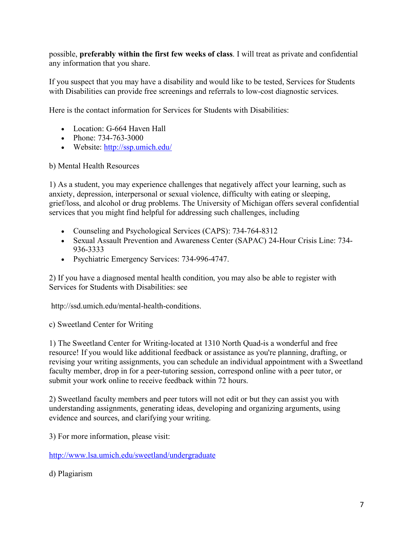possible, **preferably within the first few weeks of class**. I will treat as private and confidential any information that you share.

If you suspect that you may have a disability and would like to be tested, Services for Students with Disabilities can provide free screenings and referrals to low-cost diagnostic services.

Here is the contact information for Services for Students with Disabilities:

- Location: G-664 Haven Hall
- Phone: 734-763-3000
- Website: http://ssp.umich.edu/

b) Mental Health Resources

1) As a student, you may experience challenges that negatively affect your learning, such as anxiety, depression, interpersonal or sexual violence, difficulty with eating or sleeping, grief/loss, and alcohol or drug problems. The University of Michigan offers several confidential services that you might find helpful for addressing such challenges, including

- Counseling and Psychological Services (CAPS): 734-764-8312
- Sexual Assault Prevention and Awareness Center (SAPAC) 24-Hour Crisis Line: 734- 936-3333
- Psychiatric Emergency Services: 734-996-4747.

2) If you have a diagnosed mental health condition, you may also be able to register with Services for Students with Disabilities: see

http://ssd.umich.edu/mental-health-conditions.

c) Sweetland Center for Writing

1) The Sweetland Center for Writing-located at 1310 North Quad-is a wonderful and free resource! If you would like additional feedback or assistance as you're planning, drafting, or revising your writing assignments, you can schedule an individual appointment with a Sweetland faculty member, drop in for a peer-tutoring session, correspond online with a peer tutor, or submit your work online to receive feedback within 72 hours.

2) Sweetland faculty members and peer tutors will not edit or but they can assist you with understanding assignments, generating ideas, developing and organizing arguments, using evidence and sources, and clarifying your writing.

3) For more information, please visit:

http://www.lsa.umich.edu/sweetland/undergraduate

d) Plagiarism